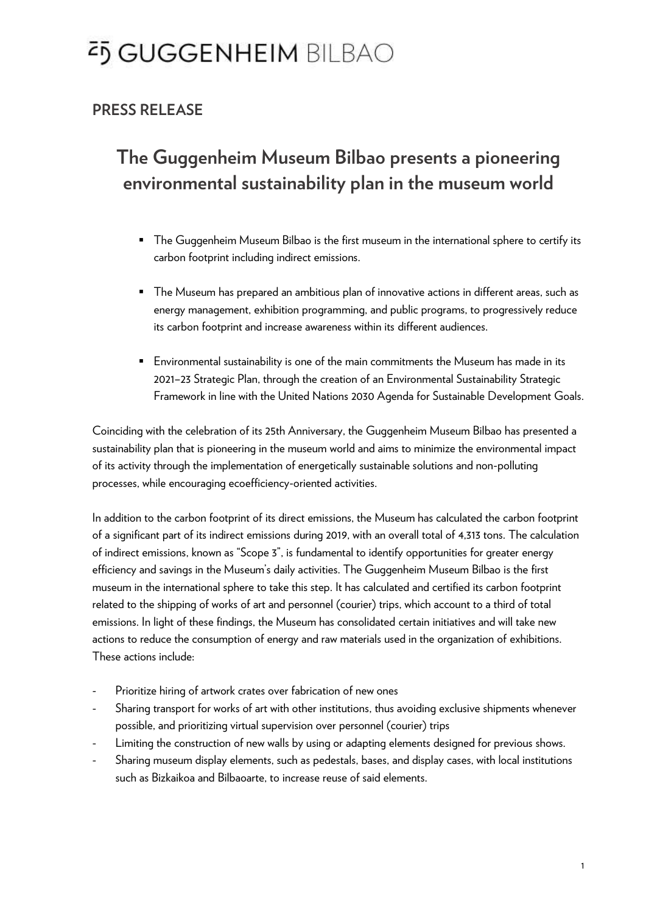## <sup>2</sup>5 GUGGENHEIM BILBAO

#### **PRESS RELEASE**

### **The Guggenheim Museum Bilbao presents a pioneering environmental sustainability plan in the museum world**

- **•** The Guggenheim Museum Bilbao is the first museum in the international sphere to certify its carbon footprint including indirect emissions.
- The Museum has prepared an ambitious plan of innovative actions in different areas, such as energy management, exhibition programming, and public programs, to progressively reduce its carbon footprint and increase awareness within its different audiences.
- Environmental sustainability is one of the main commitments the Museum has made in its 2021–23 Strategic Plan, through the creation of an Environmental Sustainability Strategic Framework in line with the United Nations 2030 Agenda for Sustainable Development Goals.

Coinciding with the celebration of its 25th Anniversary, the Guggenheim Museum Bilbao has presented a sustainability plan that is pioneering in the museum world and aims to minimize the environmental impact of its activity through the implementation of energetically sustainable solutions and non-polluting processes, while encouraging ecoefficiency-oriented activities.

In addition to the carbon footprint of its direct emissions, the Museum has calculated the carbon footprint of a significant part of its indirect emissions during 2019, with an overall total of 4,313 tons. The calculation of indirect emissions, known as "Scope 3", is fundamental to identify opportunities for greater energy efficiency and savings in the Museum's daily activities. The Guggenheim Museum Bilbao is the first museum in the international sphere to take this step. It has calculated and certified its carbon footprint related to the shipping of works of art and personnel (courier) trips, which account to a third of total emissions. In light of these findings, the Museum has consolidated certain initiatives and will take new actions to reduce the consumption of energy and raw materials used in the organization of exhibitions. These actions include:

- Prioritize hiring of artwork crates over fabrication of new ones
- Sharing transport for works of art with other institutions, thus avoiding exclusive shipments whenever possible, and prioritizing virtual supervision over personnel (courier) trips
- Limiting the construction of new walls by using or adapting elements designed for previous shows.
- Sharing museum display elements, such as pedestals, bases, and display cases, with local institutions such as Bizkaikoa and Bilbaoarte, to increase reuse of said elements.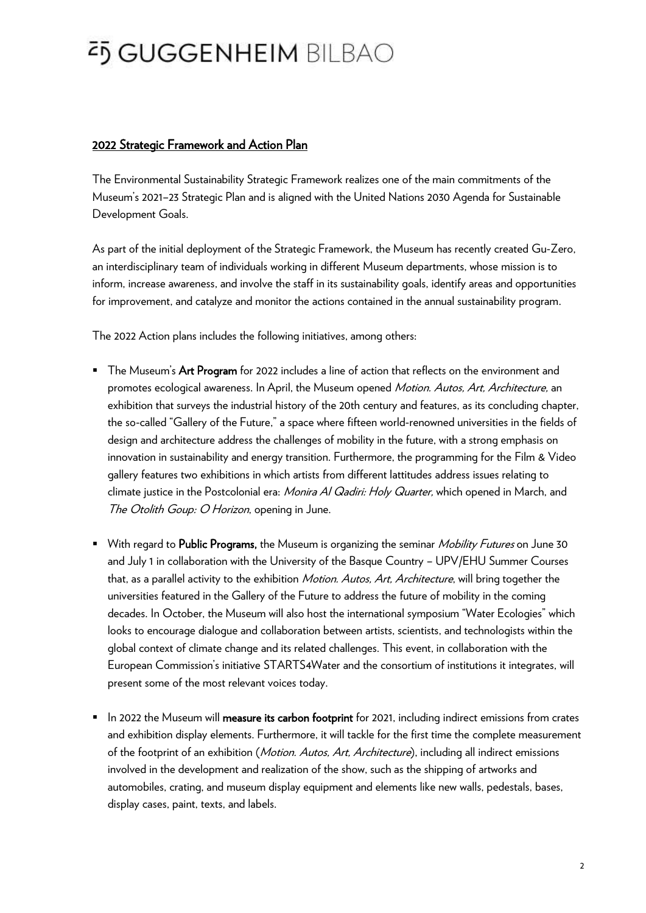### <sup>2</sup>5 GUGGENHEIM BILBAO

#### 2022 Strategic Framework and Action Plan

The Environmental Sustainability Strategic Framework realizes one of the main commitments of the Museum's 2021–23 Strategic Plan and is aligned with the United Nations 2030 Agenda for Sustainable Development Goals.

As part of the initial deployment of the Strategic Framework, the Museum has recently created Gu-Zero, an interdisciplinary team of individuals working in different Museum departments, whose mission is to inform, increase awareness, and involve the staff in its sustainability goals, identify areas and opportunities for improvement, and catalyze and monitor the actions contained in the annual sustainability program.

The 2022 Action plans includes the following initiatives, among others:

- **The Museum's Art Program** for 2022 includes a line of action that reflects on the environment and promotes ecological awareness. In April, the Museum opened *Motion. Autos, Art, Architecture*, an exhibition that surveys the industrial history of the 20th century and features, as its concluding chapter, the so-called "Gallery of the Future," a space where fifteen world-renowned universities in the fields of design and architecture address the challenges of mobility in the future, with a strong emphasis on innovation in sustainability and energy transition. Furthermore, the programming for the Film & Video gallery features two exhibitions in which artists from different lattitudes address issues relating to climate justice in the Postcolonial era: Monira Al Qadiri: Holy Quarter, which opened in March, and The Otolith Goup: O Horizon, opening in June.
- With regard to Public Programs, the Museum is organizing the seminar *Mobility Futures* on June 30 and July 1 in collaboration with the University of the Basque Country – UPV/EHU Summer Courses that, as a parallel activity to the exhibition *Motion. Autos, Art, Architecture*, will bring together the universities featured in the Gallery of the Future to address the future of mobility in the coming decades. In October, the Museum will also host the international symposium "Water Ecologies" which looks to encourage dialogue and collaboration between artists, scientists, and technologists within the global context of climate change and its related challenges. This event, in collaboration with the European Commission's initiative STARTS4Water and the consortium of institutions it integrates, will present some of the most relevant voices today.
- **EXT** In 2022 the Museum will measure its carbon footprint for 2021, including indirect emissions from crates and exhibition display elements. Furthermore, it will tackle for the first time the complete measurement of the footprint of an exhibition (Motion. Autos, Art, Architecture), including all indirect emissions involved in the development and realization of the show, such as the shipping of artworks and automobiles, crating, and museum display equipment and elements like new walls, pedestals, bases, display cases, paint, texts, and labels.